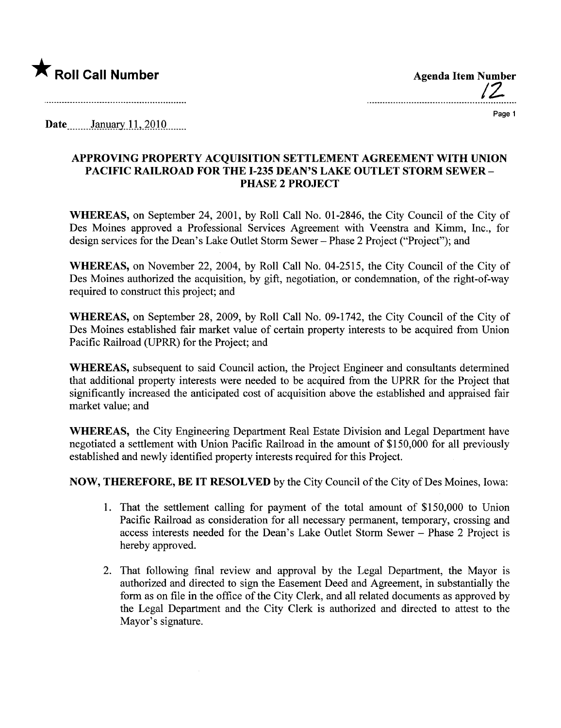

12

Page 1

Date  $\frac{\text{January }11,2010}{\text{January}}$ 

## APPROVING PROPERTY ACQUISITION SETTLEMENT AGREEMENT WITH UNION PACIFIC RAILROAD FOR THE 1-235 DEAN'S LAKE OUTLET STORM SEWER-PHASE 2 PROJECT

WHEREAS, on September 24, 2001, by Roll Call No. 01-2846, the City Council of the City of Des Moines approved a Professional Services Agreement with Veenstra and Kimm, Inc., for design services for the Dean's Lake Outlet Storm Sewer - Phase 2 Project ("Project"); and

WHEREAS, on November 22, 2004, by Roll Call No. 04-2515, the City Council of the City of Des Moines authorized the acquisition, by gift, negotiation, or condemnation, of the right-of-way required to construct this project; and

WHEREAS, on September 28, 2009, by Roll Call No. 09-1742, the City Council of the City of Des Moines established fair market value of certain property interests to be acquired from Union Pacific Railroad (UPRR) for the Project; and

WHEREAS, subsequent to said Council action, the Project Engineer and consultants determined that additional property interests were needed to be acquired from the UPRR for the Project that significantly increased the anticipated cost of acquisition above the established and appraised fair market value; and

WHEREAS, the City Engineering Department Real Estate Division and Legal Department have negotiated a settlement with Union Pacific Railroad in the amount of \$150,000 for all previously established and newly identified property interests required for this Project.

NOW, THEREFORE, BE IT RESOLVED by the City Council of the City of Des Moines, Iowa:

- 1. That the settlement calling for payment of the total amount of \$150,000 to Union Pacific Railroad as consideration for all necessary permanent, temporary, crossing and access interests needed for the Dean's Lake Outlet Storm Sewer - Phase 2 Project is hereby approved.
- 2. That following final review and approval by the Legal Deparment, the Mayor is authorized and directed to sign the Easement Deed and Agreement, in substantially the form as on file in the office of the City Clerk, and all related documents as approved by the Legal Deparment and the City Clerk is authorized and directed to attest to the Mayor's signature.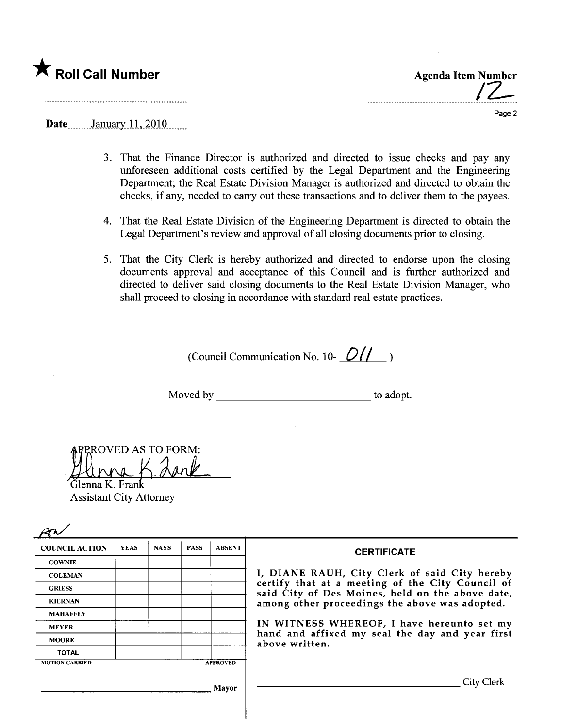

 $\overline{12}$ 

Page 2

## $\textbf{Date}$  January 11, 2010

- 3. That the Finance Director is authorized and directed to issue checks and pay any unforeseen additional costs certified by the Legal Deparment and the Engineering Department; the Real Estate Division Manager is authorized and directed to obtain the checks, if any, needed to cary out these transactions and to deliver them to the payees.
- 4. That the Real Estate Division of the Engineering Department is directed to obtain the Legal Department's review and approval of all closing documents prior to closing.
- 5. That the City Clerk is hereby authorized and directed to endorse upon the closing documents approval and acceptance of this Council and is further authorized and directed to deliver said closing documents to the Real Estate Division Manager, who shall proceed to closing in accordance with standard real estate practices.

(Council Communication No. 10- $\frac{O(1)}{O(1)}$ )

Moved by to adopt.

ROVED AS TO FORM:

Glenna K. Fra Assistant City Attorney

| <b>COUNCIL ACTION</b> | <b>YEAS</b> | <b>NAYS</b> | <b>PASS</b> | <b>ABSENT</b>   | <b>CERTIFICATE</b>                                                                                                                                                                                      |
|-----------------------|-------------|-------------|-------------|-----------------|---------------------------------------------------------------------------------------------------------------------------------------------------------------------------------------------------------|
| <b>COWNIE</b>         |             |             |             |                 |                                                                                                                                                                                                         |
| <b>COLEMAN</b>        |             |             |             |                 | I, DIANE RAUH, City Clerk of said City hereby<br>certify that at a meeting of the City Council of<br>said City of Des Moines, held on the above date,<br>among other proceedings the above was adopted. |
| <b>GRIESS</b>         |             |             |             |                 |                                                                                                                                                                                                         |
| <b>KIERNAN</b>        |             |             |             |                 |                                                                                                                                                                                                         |
| <b>MAHAFFEY</b>       |             |             |             |                 |                                                                                                                                                                                                         |
| <b>MEYER</b>          |             |             |             |                 | IN WITNESS WHEREOF, I have hereunto set my<br>hand and affixed my seal the day and year first<br>above written.                                                                                         |
| <b>MOORE</b>          |             |             |             |                 |                                                                                                                                                                                                         |
| <b>TOTAL</b>          |             |             |             |                 |                                                                                                                                                                                                         |
| <b>MOTION CARRIED</b> |             |             |             | <b>APPROVED</b> |                                                                                                                                                                                                         |
|                       |             |             |             | Mavor           | City Clerk                                                                                                                                                                                              |